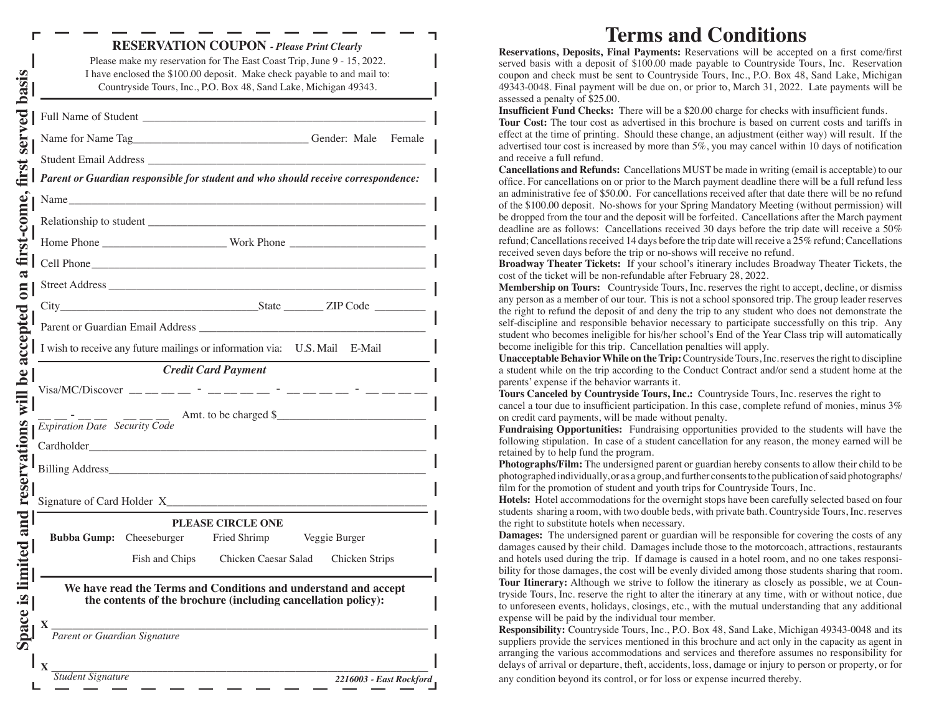|  | Parent or Guardian responsible for student and who should receive correspondence: |                                                               |                |  |
|--|-----------------------------------------------------------------------------------|---------------------------------------------------------------|----------------|--|
|  | Name                                                                              |                                                               |                |  |
|  |                                                                                   |                                                               |                |  |
|  |                                                                                   |                                                               |                |  |
|  | Cell Phone                                                                        |                                                               |                |  |
|  |                                                                                   |                                                               |                |  |
|  | City State ZIP Code                                                               |                                                               |                |  |
|  |                                                                                   |                                                               |                |  |
|  | I wish to receive any future mailings or information via: U.S. Mail E-Mail        |                                                               |                |  |
|  |                                                                                   | <b>Credit Card Payment</b>                                    |                |  |
|  |                                                                                   |                                                               |                |  |
|  |                                                                                   |                                                               |                |  |
|  | $\overline{Explination\, Date}\quad \overline{Security\,Code}$                    | Amt. to be charged \$                                         |                |  |
|  |                                                                                   |                                                               |                |  |
|  |                                                                                   |                                                               |                |  |
|  |                                                                                   |                                                               |                |  |
|  |                                                                                   |                                                               |                |  |
|  |                                                                                   | PLEASE CIRCLE ONE                                             |                |  |
|  | Bubba Gump: Cheeseburger Fried Shrimp Veggie Burger                               |                                                               |                |  |
|  | Fish and Chips                                                                    | Chicken Caesar Salad                                          | Chicken Strips |  |
|  | We have read the Terms and Conditions and understand and accept                   |                                                               |                |  |
|  |                                                                                   | the contents of the brochure (including cancellation policy): |                |  |

# **Terms and Conditions**

**Reservations, Deposits, Final Payments:** Reservations will be accepted on a first come/first served basis with a deposit of \$100.00 made payable to Countryside Tours, Inc. Reservation coupon and check must be sent to Countryside Tours, Inc., P.O. Box 48, Sand Lake, Michigan 49343-0048. Final payment will be due on, or prior to, March 31, 2022. Late payments will be assessed a penalty of \$25.00.

**Insufficient Fund Checks:** There will be a \$20.00 charge for checks with insufficient funds. **Tour Cost:** The tour cost as advertised in this brochure is based on current costs and tariffs in effect at the time of printing. Should these change, an adjustment (either way) will result. If the advertised tour cost is increased by more than 5%, you may cancel within 10 days of notification and receive a full refund.

**Cancellations and Refunds:** Cancellations MUST be made in writing (email is acceptable) to our office. For cancellations on or prior to the March payment deadline there will be a full refund less an administrative fee of \$50.00. For cancellations received after that date there will be no refund of the \$100.00 deposit. No-shows for your Spring Mandatory Meeting (without permission) will be dropped from the tour and the deposit will be forfeited. Cancellations after the March payment deadline are as follows: Cancellations received 30 days before the trip date will receive a 50% refund; Cancellations received 14 days before the trip date will receive a 25% refund; Cancellations received seven days before the trip or no-shows will receive no refund.

**Broadway Theater Tickets:** If your school's itinerary includes Broadway Theater Tickets, the cost of the ticket will be non-refundable after February 28, 2022.

**Membership on Tours:** Countryside Tours, Inc. reserves the right to accept, decline, or dismiss any person as a member of our tour. This is not a school sponsored trip. The group leader reserves the right to refund the deposit of and deny the trip to any student who does not demonstrate the self-discipline and responsible behavior necessary to participate successfully on this trip. Any student who becomes ineligible for his/her school's End of the Year Class trip will automatically become ineligible for this trip. Cancellation penalties will apply.

**Unacceptable Behavior While on the Trip:** Countryside Tours, Inc. reserves the right to discipline a student while on the trip according to the Conduct Contract and/or send a student home at the parents' expense if the behavior warrants it.

**Tours Canceled by Countryside Tours, Inc.:** Countryside Tours, Inc. reserves the right to cancel a tour due to insufficient participation. In this case, complete refund of monies, minus 3% on credit card payments, will be made without penalty.

**Fundraising Opportunities:** Fundraising opportunities provided to the students will have the following stipulation. In case of a student cancellation for any reason, the money earned will be retained by to help fund the program.

**Photographs/Film:** The undersigned parent or guardian hereby consents to allow their child to be photographed individually, or as a group, and further consents to the publication of said photographs/ film for the promotion of student and youth trips for Countryside Tours, Inc.

**Hotels:** Hotel accommodations for the overnight stops have been carefully selected based on four students sharing a room, with two double beds, with private bath. Countryside Tours, Inc. reserves the right to substitute hotels when necessary.

**Damages:** The undersigned parent or guardian will be responsible for covering the costs of any damages caused by their child. Damages include those to the motorcoach, attractions, restaurants and hotels used during the trip. If damage is caused in a hotel room, and no one takes responsibility for those damages, the cost will be evenly divided among those students sharing that room. **Tour Itinerary:** Although we strive to follow the itinerary as closely as possible, we at Countryside Tours, Inc. reserve the right to alter the itinerary at any time, with or without notice, due to unforeseen events, holidays, closings, etc., with the mutual understanding that any additional expense will be paid by the individual tour member.

**Responsibility:** Countryside Tours, Inc., P.O. Box 48, Sand Lake, Michigan 49343-0048 and its suppliers provide the services mentioned in this brochure and act only in the capacity as agent in arranging the various accommodations and services and therefore assumes no responsibility for delays of arrival or departure, theft, accidents, loss, damage or injury to person or property, or for any condition beyond its control, or for loss or expense incurred thereby.